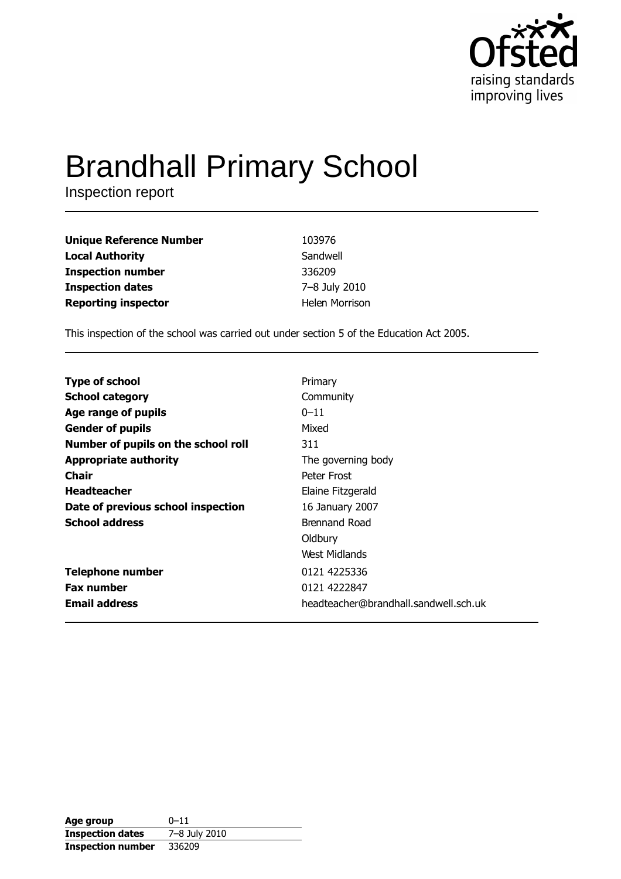

# **Brandhall Primary School**

Inspection report

| <b>Unique Reference Number</b> | 103976                |
|--------------------------------|-----------------------|
| <b>Local Authority</b>         | Sandwell              |
| <b>Inspection number</b>       | 336209                |
| <b>Inspection dates</b>        | 7-8 July 2010         |
| <b>Reporting inspector</b>     | <b>Helen Morrison</b> |

This inspection of the school was carried out under section 5 of the Education Act 2005.

| <b>Type of school</b>               | Primary                               |
|-------------------------------------|---------------------------------------|
| <b>School category</b>              | Community                             |
| Age range of pupils                 | $0 - 11$                              |
| <b>Gender of pupils</b>             | Mixed                                 |
| Number of pupils on the school roll | 311                                   |
| <b>Appropriate authority</b>        | The governing body                    |
| <b>Chair</b>                        | Peter Frost                           |
| <b>Headteacher</b>                  | Elaine Fitzgerald                     |
| Date of previous school inspection  | 16 January 2007                       |
| <b>School address</b>               | <b>Brennand Road</b>                  |
|                                     | Oldbury                               |
|                                     | West Midlands                         |
| <b>Telephone number</b>             | 0121 4225336                          |
| <b>Fax number</b>                   | 0121 4222847                          |
| <b>Email address</b>                | headteacher@brandhall.sandwell.sch.uk |

| Age group                | $0 - 11$      |
|--------------------------|---------------|
| <b>Inspection dates</b>  | 7-8 July 2010 |
| <b>Inspection number</b> | 336209        |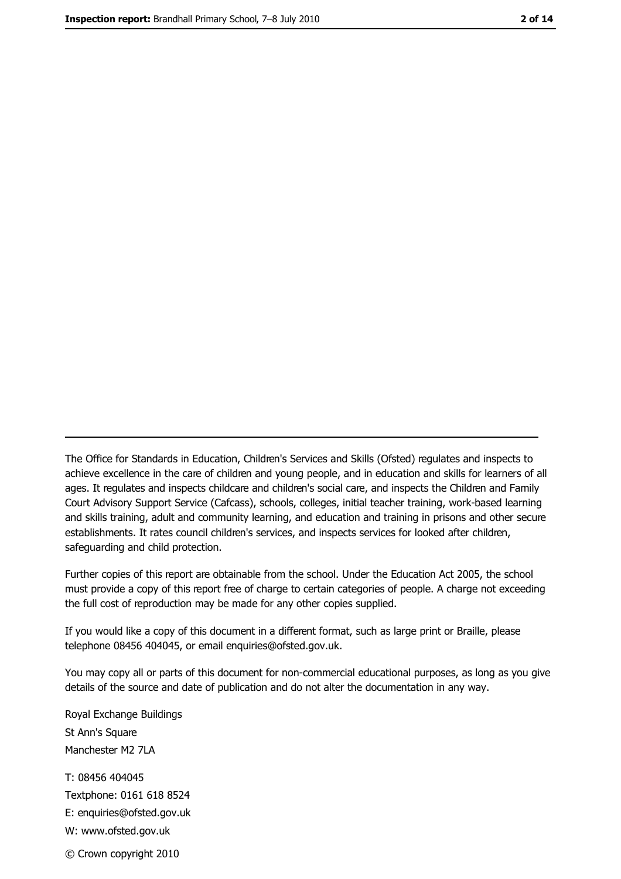The Office for Standards in Education, Children's Services and Skills (Ofsted) regulates and inspects to achieve excellence in the care of children and young people, and in education and skills for learners of all ages. It regulates and inspects childcare and children's social care, and inspects the Children and Family Court Advisory Support Service (Cafcass), schools, colleges, initial teacher training, work-based learning and skills training, adult and community learning, and education and training in prisons and other secure establishments. It rates council children's services, and inspects services for looked after children, safequarding and child protection.

Further copies of this report are obtainable from the school. Under the Education Act 2005, the school must provide a copy of this report free of charge to certain categories of people. A charge not exceeding the full cost of reproduction may be made for any other copies supplied.

If you would like a copy of this document in a different format, such as large print or Braille, please telephone 08456 404045, or email enquiries@ofsted.gov.uk.

You may copy all or parts of this document for non-commercial educational purposes, as long as you give details of the source and date of publication and do not alter the documentation in any way.

Royal Exchange Buildings St Ann's Square Manchester M2 7LA T: 08456 404045 Textphone: 0161 618 8524 E: enquiries@ofsted.gov.uk W: www.ofsted.gov.uk © Crown copyright 2010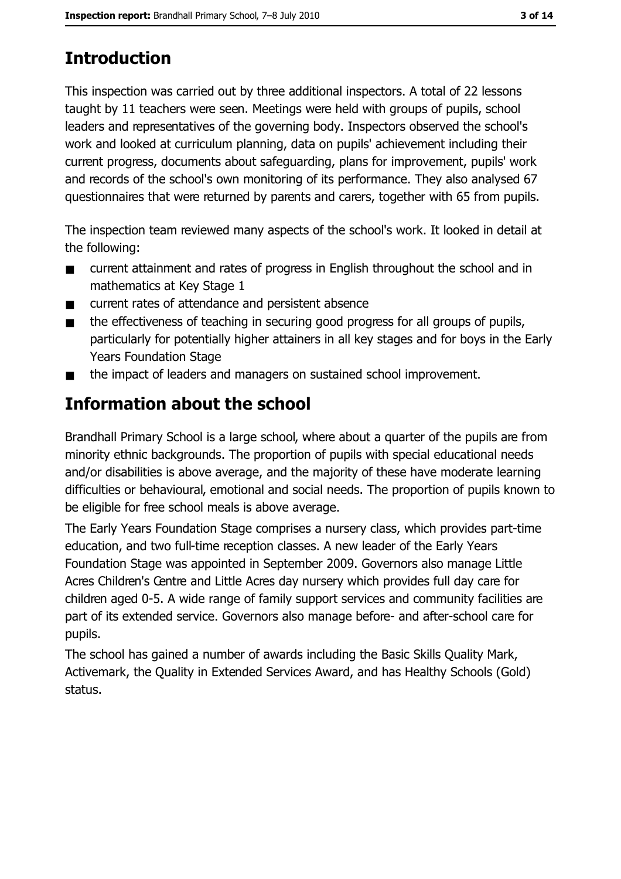# **Introduction**

This inspection was carried out by three additional inspectors. A total of 22 lessons taught by 11 teachers were seen. Meetings were held with groups of pupils, school leaders and representatives of the governing body. Inspectors observed the school's work and looked at curriculum planning, data on pupils' achievement including their current progress, documents about safeguarding, plans for improvement, pupils' work and records of the school's own monitoring of its performance. They also analysed 67 questionnaires that were returned by parents and carers, together with 65 from pupils.

The inspection team reviewed many aspects of the school's work. It looked in detail at the following:

- current attainment and rates of progress in English throughout the school and in  $\blacksquare$ mathematics at Key Stage 1
- current rates of attendance and persistent absence  $\blacksquare$
- the effectiveness of teaching in securing good progress for all groups of pupils,  $\blacksquare$ particularly for potentially higher attainers in all key stages and for boys in the Early **Years Foundation Stage**
- the impact of leaders and managers on sustained school improvement.  $\blacksquare$

# Information about the school

Brandhall Primary School is a large school, where about a quarter of the pupils are from minority ethnic backgrounds. The proportion of pupils with special educational needs and/or disabilities is above average, and the majority of these have moderate learning difficulties or behavioural, emotional and social needs. The proportion of pupils known to be eligible for free school meals is above average.

The Early Years Foundation Stage comprises a nursery class, which provides part-time education, and two full-time reception classes. A new leader of the Early Years Foundation Stage was appointed in September 2009. Governors also manage Little Acres Children's Centre and Little Acres day nursery which provides full day care for children aged 0-5. A wide range of family support services and community facilities are part of its extended service. Governors also manage before- and after-school care for pupils.

The school has gained a number of awards including the Basic Skills Quality Mark, Activemark, the Quality in Extended Services Award, and has Healthy Schools (Gold) status.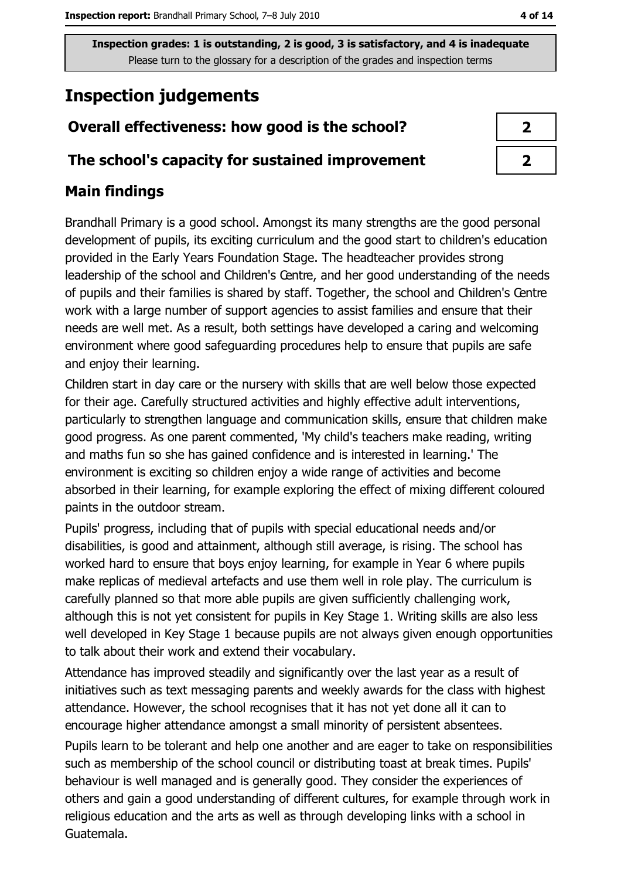# **Inspection judgements**

## Overall effectiveness: how good is the school?

#### The school's capacity for sustained improvement

### **Main findings**

Brandhall Primary is a good school. Amongst its many strengths are the good personal development of pupils, its exciting curriculum and the good start to children's education provided in the Early Years Foundation Stage. The headteacher provides strong leadership of the school and Children's Centre, and her good understanding of the needs of pupils and their families is shared by staff. Together, the school and Children's Centre work with a large number of support agencies to assist families and ensure that their needs are well met. As a result, both settings have developed a caring and welcoming environment where good safeguarding procedures help to ensure that pupils are safe and enjoy their learning.

Children start in day care or the nursery with skills that are well below those expected for their age. Carefully structured activities and highly effective adult interventions, particularly to strengthen language and communication skills, ensure that children make good progress. As one parent commented, 'My child's teachers make reading, writing and maths fun so she has gained confidence and is interested in learning.' The environment is exciting so children enjoy a wide range of activities and become absorbed in their learning, for example exploring the effect of mixing different coloured paints in the outdoor stream.

Pupils' progress, including that of pupils with special educational needs and/or disabilities, is good and attainment, although still average, is rising. The school has worked hard to ensure that boys enjoy learning, for example in Year 6 where pupils make replicas of medieval artefacts and use them well in role play. The curriculum is carefully planned so that more able pupils are given sufficiently challenging work, although this is not yet consistent for pupils in Key Stage 1. Writing skills are also less well developed in Key Stage 1 because pupils are not always given enough opportunities to talk about their work and extend their vocabulary.

Attendance has improved steadily and significantly over the last year as a result of initiatives such as text messaging parents and weekly awards for the class with highest attendance. However, the school recognises that it has not yet done all it can to encourage higher attendance amongst a small minority of persistent absentees.

Pupils learn to be tolerant and help one another and are eager to take on responsibilities such as membership of the school council or distributing toast at break times. Pupils' behaviour is well managed and is generally good. They consider the experiences of others and gain a good understanding of different cultures, for example through work in religious education and the arts as well as through developing links with a school in Guatemala.

| $\boldsymbol{\prime}$ |  |
|-----------------------|--|
| 1                     |  |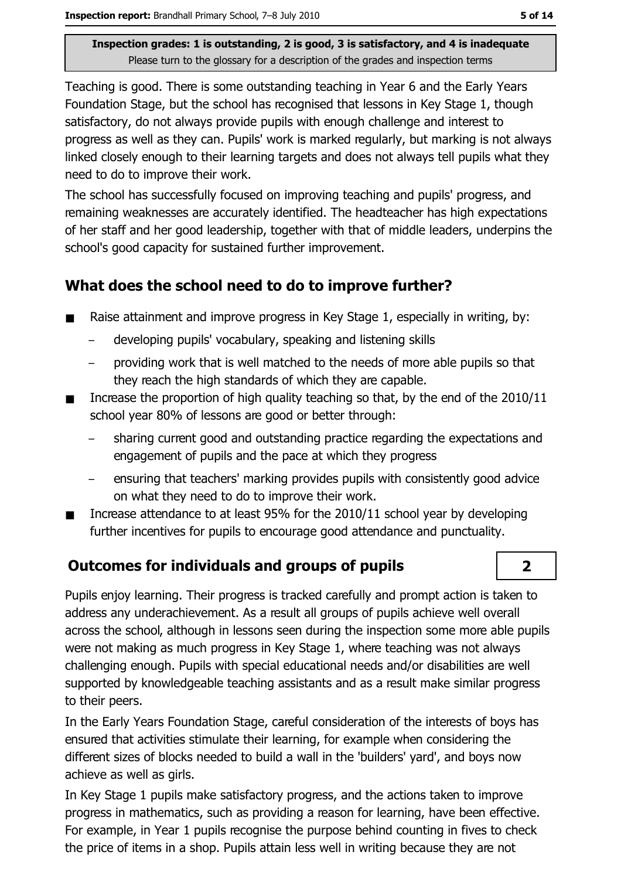Teaching is good. There is some outstanding teaching in Year 6 and the Early Years Foundation Stage, but the school has recognised that lessons in Key Stage 1, though satisfactory, do not always provide pupils with enough challenge and interest to progress as well as they can. Pupils' work is marked regularly, but marking is not always linked closely enough to their learning targets and does not always tell pupils what they need to do to improve their work.

The school has successfully focused on improving teaching and pupils' progress, and remaining weaknesses are accurately identified. The headteacher has high expectations of her staff and her good leadership, together with that of middle leaders, underpins the school's good capacity for sustained further improvement.

## What does the school need to do to improve further?

- Raise attainment and improve progress in Key Stage 1, especially in writing, by:  $\blacksquare$ 
	- developing pupils' vocabulary, speaking and listening skills
	- providing work that is well matched to the needs of more able pupils so that they reach the high standards of which they are capable.
- Increase the proportion of high quality teaching so that, by the end of the 2010/11  $\blacksquare$ school year 80% of lessons are good or better through:
	- sharing current good and outstanding practice regarding the expectations and engagement of pupils and the pace at which they progress
	- ensuring that teachers' marking provides pupils with consistently good advice on what they need to do to improve their work.
- Increase attendance to at least 95% for the 2010/11 school year by developing further incentives for pupils to encourage good attendance and punctuality.

#### **Outcomes for individuals and groups of pupils**

Pupils enjoy learning. Their progress is tracked carefully and prompt action is taken to address any underachievement. As a result all groups of pupils achieve well overall across the school, although in lessons seen during the inspection some more able pupils were not making as much progress in Key Stage 1, where teaching was not always challenging enough. Pupils with special educational needs and/or disabilities are well supported by knowledgeable teaching assistants and as a result make similar progress to their peers.

In the Early Years Foundation Stage, careful consideration of the interests of boys has ensured that activities stimulate their learning, for example when considering the different sizes of blocks needed to build a wall in the 'builders' yard', and boys now achieve as well as girls.

In Key Stage 1 pupils make satisfactory progress, and the actions taken to improve progress in mathematics, such as providing a reason for learning, have been effective. For example, in Year 1 pupils recognise the purpose behind counting in fives to check the price of items in a shop. Pupils attain less well in writing because they are not

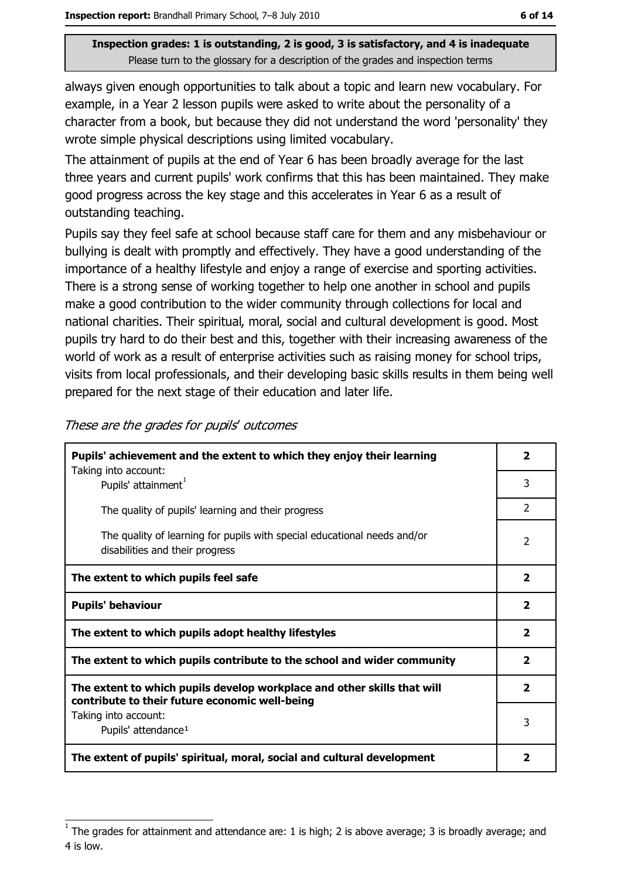always given enough opportunities to talk about a topic and learn new vocabulary. For example, in a Year 2 lesson pupils were asked to write about the personality of a character from a book, but because they did not understand the word 'personality' they wrote simple physical descriptions using limited vocabulary.

The attainment of pupils at the end of Year 6 has been broadly average for the last three years and current pupils' work confirms that this has been maintained. They make good progress across the key stage and this accelerates in Year 6 as a result of outstanding teaching.

Pupils say they feel safe at school because staff care for them and any misbehaviour or bullying is dealt with promptly and effectively. They have a good understanding of the importance of a healthy lifestyle and enjoy a range of exercise and sporting activities. There is a strong sense of working together to help one another in school and pupils make a good contribution to the wider community through collections for local and national charities. Their spiritual, moral, social and cultural development is good. Most pupils try hard to do their best and this, together with their increasing awareness of the world of work as a result of enterprise activities such as raising money for school trips, visits from local professionals, and their developing basic skills results in them being well prepared for the next stage of their education and later life.

| Pupils' achievement and the extent to which they enjoy their learning<br>Taking into account:                             | 2              |
|---------------------------------------------------------------------------------------------------------------------------|----------------|
| Pupils' attainment <sup>1</sup>                                                                                           | 3              |
| The quality of pupils' learning and their progress                                                                        | $\mathcal{P}$  |
| The quality of learning for pupils with special educational needs and/or<br>disabilities and their progress               | $\overline{2}$ |
| The extent to which pupils feel safe                                                                                      | $\overline{2}$ |
| <b>Pupils' behaviour</b>                                                                                                  | $\mathbf{z}$   |
| The extent to which pupils adopt healthy lifestyles                                                                       | $\mathbf{2}$   |
| The extent to which pupils contribute to the school and wider community                                                   | 2              |
| The extent to which pupils develop workplace and other skills that will<br>contribute to their future economic well-being | $\overline{2}$ |
| Taking into account:<br>Pupils' attendance <sup>1</sup>                                                                   | 3              |
| The extent of pupils' spiritual, moral, social and cultural development                                                   | 2              |

These are the grades for pupils' outcomes

The grades for attainment and attendance are: 1 is high; 2 is above average; 3 is broadly average; and 4 is low.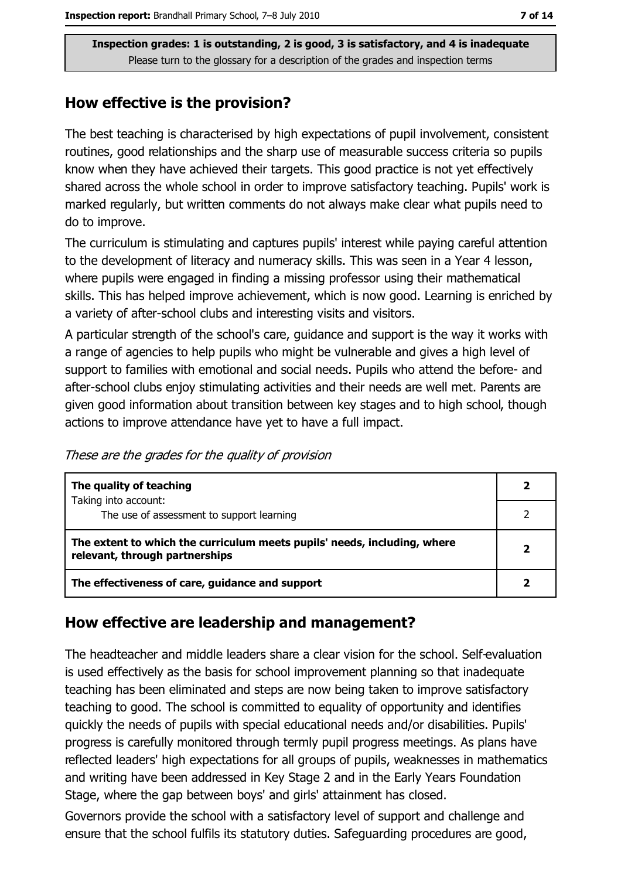#### How effective is the provision?

The best teaching is characterised by high expectations of pupil involvement, consistent routines, good relationships and the sharp use of measurable success criteria so pupils know when they have achieved their targets. This good practice is not yet effectively shared across the whole school in order to improve satisfactory teaching. Pupils' work is marked regularly, but written comments do not always make clear what pupils need to do to improve.

The curriculum is stimulating and captures pupils' interest while paying careful attention to the development of literacy and numeracy skills. This was seen in a Year 4 lesson, where pupils were engaged in finding a missing professor using their mathematical skills. This has helped improve achievement, which is now good. Learning is enriched by a variety of after-school clubs and interesting visits and visitors.

A particular strength of the school's care, guidance and support is the way it works with a range of agencies to help pupils who might be vulnerable and gives a high level of support to families with emotional and social needs. Pupils who attend the before- and after-school clubs enjoy stimulating activities and their needs are well met. Parents are given good information about transition between key stages and to high school, though actions to improve attendance have yet to have a full impact.

|  |  |  |  | These are the grades for the quality of provision |
|--|--|--|--|---------------------------------------------------|
|  |  |  |  |                                                   |

| The quality of teaching                                                                                    |  |
|------------------------------------------------------------------------------------------------------------|--|
| Taking into account:<br>The use of assessment to support learning                                          |  |
| The extent to which the curriculum meets pupils' needs, including, where<br>relevant, through partnerships |  |
| The effectiveness of care, guidance and support                                                            |  |

#### How effective are leadership and management?

The headteacher and middle leaders share a clear vision for the school. Self-evaluation is used effectively as the basis for school improvement planning so that inadequate teaching has been eliminated and steps are now being taken to improve satisfactory teaching to good. The school is committed to equality of opportunity and identifies quickly the needs of pupils with special educational needs and/or disabilities. Pupils' progress is carefully monitored through termly pupil progress meetings. As plans have reflected leaders' high expectations for all groups of pupils, weaknesses in mathematics and writing have been addressed in Key Stage 2 and in the Early Years Foundation Stage, where the gap between boys' and girls' attainment has closed.

Governors provide the school with a satisfactory level of support and challenge and ensure that the school fulfils its statutory duties. Safeguarding procedures are good,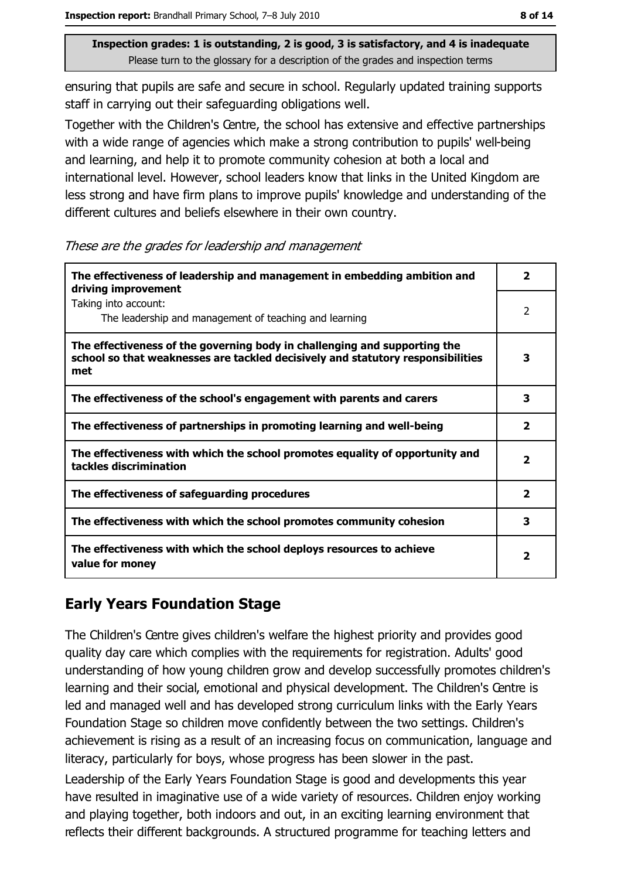ensuring that pupils are safe and secure in school. Regularly updated training supports staff in carrying out their safeguarding obligations well.

Together with the Children's Centre, the school has extensive and effective partnerships with a wide range of agencies which make a strong contribution to pupils' well-being and learning, and help it to promote community cohesion at both a local and international level. However, school leaders know that links in the United Kingdom are less strong and have firm plans to improve pupils' knowledge and understanding of the different cultures and beliefs elsewhere in their own country.

These are the grades for leadership and management

| The effectiveness of leadership and management in embedding ambition and<br>driving improvement                                                                     | 2                       |
|---------------------------------------------------------------------------------------------------------------------------------------------------------------------|-------------------------|
| Taking into account:<br>The leadership and management of teaching and learning                                                                                      | $\overline{2}$          |
| The effectiveness of the governing body in challenging and supporting the<br>school so that weaknesses are tackled decisively and statutory responsibilities<br>met | 3                       |
| The effectiveness of the school's engagement with parents and carers                                                                                                | 3                       |
| The effectiveness of partnerships in promoting learning and well-being                                                                                              | 2                       |
| The effectiveness with which the school promotes equality of opportunity and<br>tackles discrimination                                                              | $\overline{\mathbf{2}}$ |
| The effectiveness of safeguarding procedures                                                                                                                        | $\overline{\mathbf{2}}$ |
| The effectiveness with which the school promotes community cohesion                                                                                                 | з                       |
| The effectiveness with which the school deploys resources to achieve<br>value for money                                                                             | 2                       |

## **Early Years Foundation Stage**

The Children's Centre gives children's welfare the highest priority and provides good quality day care which complies with the requirements for registration. Adults' good understanding of how young children grow and develop successfully promotes children's learning and their social, emotional and physical development. The Children's Centre is led and managed well and has developed strong curriculum links with the Early Years Foundation Stage so children move confidently between the two settings. Children's achievement is rising as a result of an increasing focus on communication, language and literacy, particularly for boys, whose progress has been slower in the past.

Leadership of the Early Years Foundation Stage is good and developments this year have resulted in imaginative use of a wide variety of resources. Children enjoy working and playing together, both indoors and out, in an exciting learning environment that reflects their different backgrounds. A structured programme for teaching letters and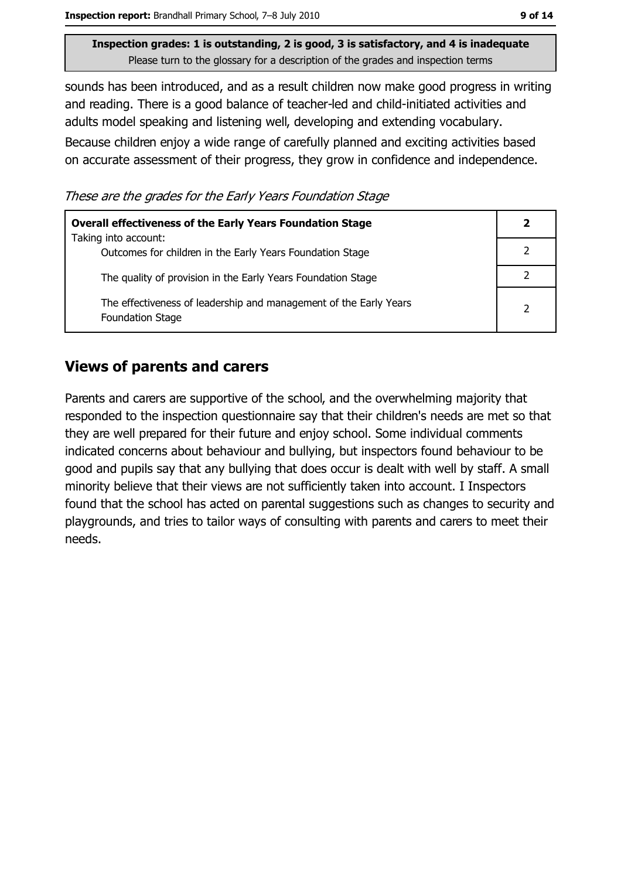sounds has been introduced, and as a result children now make good progress in writing and reading. There is a good balance of teacher-led and child-initiated activities and adults model speaking and listening well, developing and extending vocabulary.

Because children enjoy a wide range of carefully planned and exciting activities based on accurate assessment of their progress, they grow in confidence and independence.

These are the grades for the Early Years Foundation Stage

| <b>Overall effectiveness of the Early Years Foundation Stage</b>                             |   |  |  |
|----------------------------------------------------------------------------------------------|---|--|--|
| Taking into account:                                                                         |   |  |  |
| Outcomes for children in the Early Years Foundation Stage                                    |   |  |  |
| The quality of provision in the Early Years Foundation Stage                                 |   |  |  |
| The effectiveness of leadership and management of the Early Years<br><b>Foundation Stage</b> | 2 |  |  |

#### **Views of parents and carers**

Parents and carers are supportive of the school, and the overwhelming majority that responded to the inspection questionnaire say that their children's needs are met so that they are well prepared for their future and enjoy school. Some individual comments indicated concerns about behaviour and bullying, but inspectors found behaviour to be good and pupils say that any bullying that does occur is dealt with well by staff. A small minority believe that their views are not sufficiently taken into account. I Inspectors found that the school has acted on parental suggestions such as changes to security and playgrounds, and tries to tailor ways of consulting with parents and carers to meet their needs.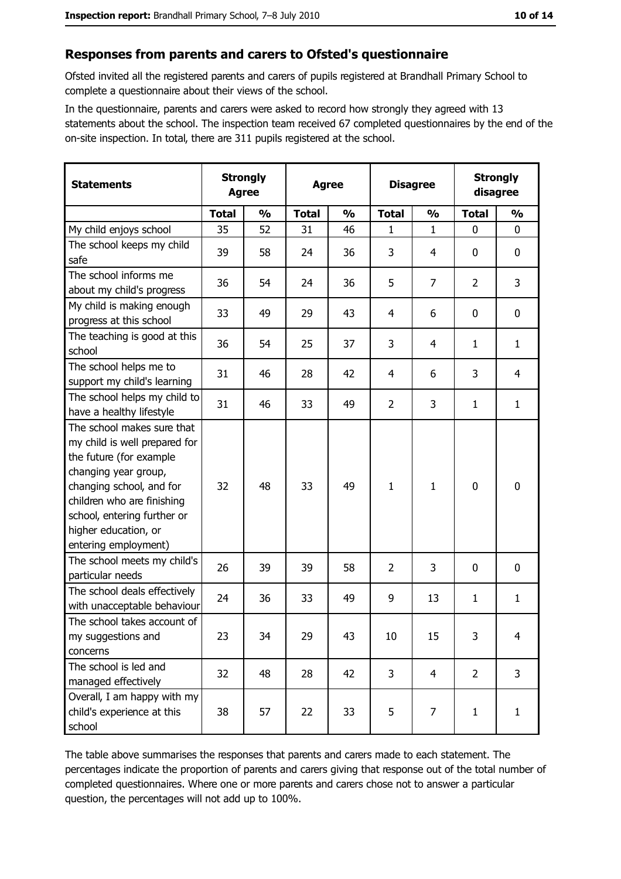#### Responses from parents and carers to Ofsted's questionnaire

Ofsted invited all the registered parents and carers of pupils registered at Brandhall Primary School to complete a questionnaire about their views of the school.

In the questionnaire, parents and carers were asked to record how strongly they agreed with 13 statements about the school. The inspection team received 67 completed questionnaires by the end of the on-site inspection. In total, there are 311 pupils registered at the school.

| <b>Statements</b>                                                                                                                                                                                                                                       |              | <b>Strongly</b><br><b>Agree</b> |              | <b>Agree</b>  |                | <b>Disagree</b> |                | <b>Strongly</b><br>disagree |
|---------------------------------------------------------------------------------------------------------------------------------------------------------------------------------------------------------------------------------------------------------|--------------|---------------------------------|--------------|---------------|----------------|-----------------|----------------|-----------------------------|
|                                                                                                                                                                                                                                                         | <b>Total</b> | $\frac{1}{2}$                   | <b>Total</b> | $\frac{0}{0}$ | <b>Total</b>   | $\frac{0}{0}$   | <b>Total</b>   | $\frac{1}{2}$               |
| My child enjoys school                                                                                                                                                                                                                                  | 35           | 52                              | 31           | 46            | 1              | 1               | $\mathbf 0$    | $\mathbf 0$                 |
| The school keeps my child<br>safe                                                                                                                                                                                                                       | 39           | 58                              | 24           | 36            | 3              | 4               | 0              | 0                           |
| The school informs me<br>about my child's progress                                                                                                                                                                                                      | 36           | 54                              | 24           | 36            | 5              | $\overline{7}$  | 2              | 3                           |
| My child is making enough<br>progress at this school                                                                                                                                                                                                    | 33           | 49                              | 29           | 43            | $\overline{4}$ | 6               | 0              | $\mathbf 0$                 |
| The teaching is good at this<br>school                                                                                                                                                                                                                  | 36           | 54                              | 25           | 37            | 3              | 4               | 1              | $\mathbf{1}$                |
| The school helps me to<br>support my child's learning                                                                                                                                                                                                   | 31           | 46                              | 28           | 42            | 4              | 6               | 3              | 4                           |
| The school helps my child to<br>have a healthy lifestyle                                                                                                                                                                                                | 31           | 46                              | 33           | 49            | $\overline{2}$ | 3               | 1              | $\mathbf{1}$                |
| The school makes sure that<br>my child is well prepared for<br>the future (for example<br>changing year group,<br>changing school, and for<br>children who are finishing<br>school, entering further or<br>higher education, or<br>entering employment) | 32           | 48                              | 33           | 49            | $\mathbf{1}$   | 1               | 0              | $\mathbf 0$                 |
| The school meets my child's<br>particular needs                                                                                                                                                                                                         | 26           | 39                              | 39           | 58            | $\overline{2}$ | 3               | 0              | 0                           |
| The school deals effectively<br>with unacceptable behaviour                                                                                                                                                                                             | 24           | 36                              | 33           | 49            | 9              | 13              | 1              | $\mathbf{1}$                |
| The school takes account of<br>my suggestions and<br>concerns                                                                                                                                                                                           | 23           | 34                              | 29           | 43            | 10             | 15              | 3              | 4                           |
| The school is led and<br>managed effectively                                                                                                                                                                                                            | 32           | 48                              | 28           | 42            | 3              | $\overline{4}$  | $\overline{2}$ | 3                           |
| Overall, I am happy with my<br>child's experience at this<br>school                                                                                                                                                                                     | 38           | 57                              | 22           | 33            | 5              | 7               | 1              | $\mathbf{1}$                |

The table above summarises the responses that parents and carers made to each statement. The percentages indicate the proportion of parents and carers giving that response out of the total number of completed questionnaires. Where one or more parents and carers chose not to answer a particular question, the percentages will not add up to 100%.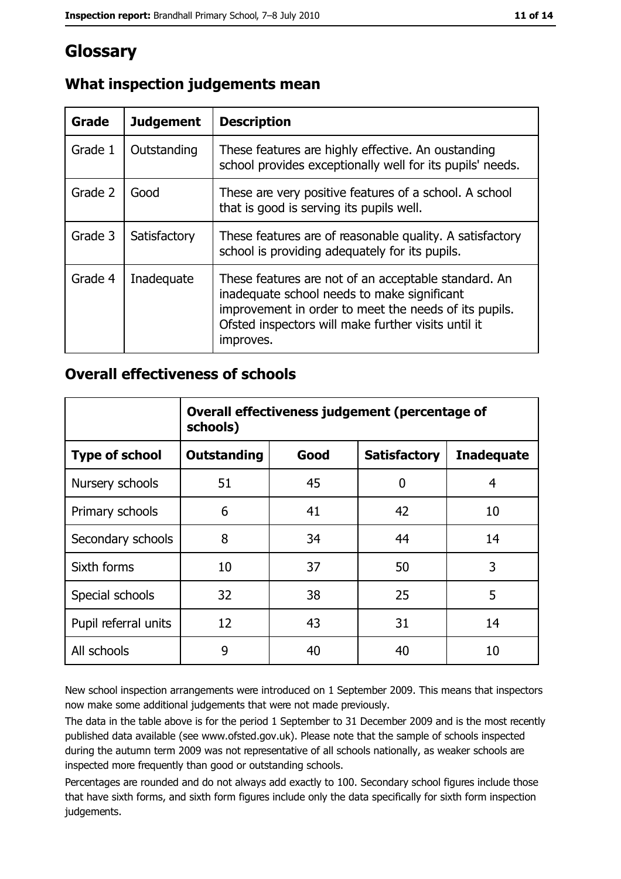## Glossary

| Grade   | <b>Judgement</b> | <b>Description</b>                                                                                                                                                                                                               |
|---------|------------------|----------------------------------------------------------------------------------------------------------------------------------------------------------------------------------------------------------------------------------|
| Grade 1 | Outstanding      | These features are highly effective. An oustanding<br>school provides exceptionally well for its pupils' needs.                                                                                                                  |
| Grade 2 | Good             | These are very positive features of a school. A school<br>that is good is serving its pupils well.                                                                                                                               |
| Grade 3 | Satisfactory     | These features are of reasonable quality. A satisfactory<br>school is providing adequately for its pupils.                                                                                                                       |
| Grade 4 | Inadequate       | These features are not of an acceptable standard. An<br>inadequate school needs to make significant<br>improvement in order to meet the needs of its pupils.<br>Ofsted inspectors will make further visits until it<br>improves. |

## What inspection judgements mean

#### **Overall effectiveness of schools**

|                       | Overall effectiveness judgement (percentage of<br>schools) |      |                     |                   |  |  |  |
|-----------------------|------------------------------------------------------------|------|---------------------|-------------------|--|--|--|
| <b>Type of school</b> | <b>Outstanding</b>                                         | Good | <b>Satisfactory</b> | <b>Inadequate</b> |  |  |  |
| Nursery schools       | 51                                                         | 45   | 0                   | 4                 |  |  |  |
| Primary schools       | 6                                                          | 41   | 42                  | 10                |  |  |  |
| Secondary schools     | 8                                                          | 34   | 44                  | 14                |  |  |  |
| Sixth forms           | 10                                                         | 37   | 50                  | 3                 |  |  |  |
| Special schools       | 32                                                         | 38   | 25                  | 5                 |  |  |  |
| Pupil referral units  | 12                                                         | 43   | 31                  | 14                |  |  |  |
| All schools           | 9                                                          | 40   | 40                  | 10                |  |  |  |

New school inspection arrangements were introduced on 1 September 2009. This means that inspectors now make some additional judgements that were not made previously.

The data in the table above is for the period 1 September to 31 December 2009 and is the most recently published data available (see www.ofsted.gov.uk). Please note that the sample of schools inspected during the autumn term 2009 was not representative of all schools nationally, as weaker schools are inspected more frequently than good or outstanding schools.

Percentages are rounded and do not always add exactly to 100. Secondary school figures include those that have sixth forms, and sixth form figures include only the data specifically for sixth form inspection judgements.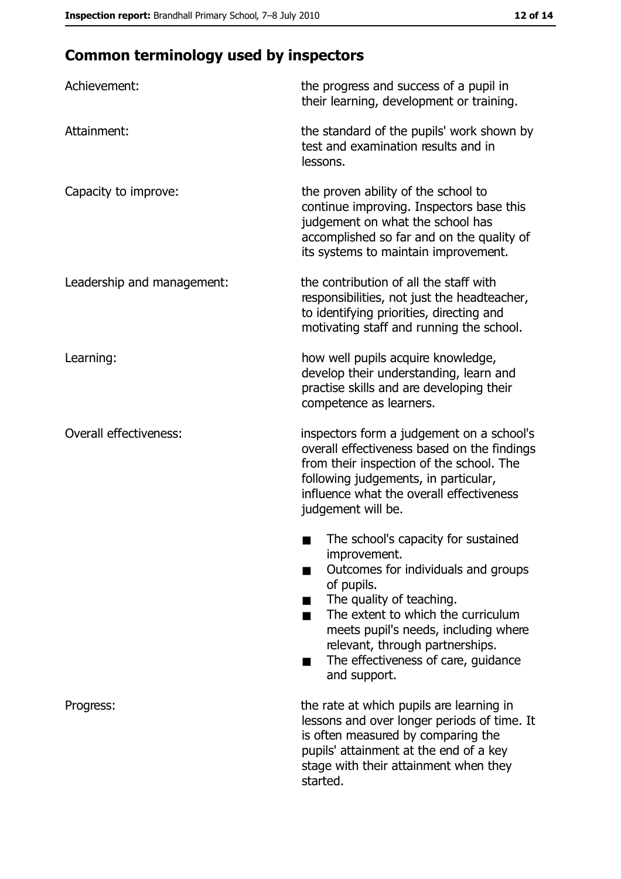# **Common terminology used by inspectors**

| Achievement:                  | the progress and success of a pupil in<br>their learning, development or training.                                                                                                                                                                                                                           |
|-------------------------------|--------------------------------------------------------------------------------------------------------------------------------------------------------------------------------------------------------------------------------------------------------------------------------------------------------------|
| Attainment:                   | the standard of the pupils' work shown by<br>test and examination results and in<br>lessons.                                                                                                                                                                                                                 |
| Capacity to improve:          | the proven ability of the school to<br>continue improving. Inspectors base this<br>judgement on what the school has<br>accomplished so far and on the quality of<br>its systems to maintain improvement.                                                                                                     |
| Leadership and management:    | the contribution of all the staff with<br>responsibilities, not just the headteacher,<br>to identifying priorities, directing and<br>motivating staff and running the school.                                                                                                                                |
| Learning:                     | how well pupils acquire knowledge,<br>develop their understanding, learn and<br>practise skills and are developing their<br>competence as learners.                                                                                                                                                          |
| <b>Overall effectiveness:</b> | inspectors form a judgement on a school's<br>overall effectiveness based on the findings<br>from their inspection of the school. The<br>following judgements, in particular,<br>influence what the overall effectiveness<br>judgement will be.                                                               |
|                               | The school's capacity for sustained<br>improvement.<br>Outcomes for individuals and groups<br>of pupils.<br>The quality of teaching.<br>The extent to which the curriculum<br>meets pupil's needs, including where<br>relevant, through partnerships.<br>The effectiveness of care, guidance<br>and support. |
| Progress:                     | the rate at which pupils are learning in<br>lessons and over longer periods of time. It<br>is often measured by comparing the<br>pupils' attainment at the end of a key<br>stage with their attainment when they<br>started.                                                                                 |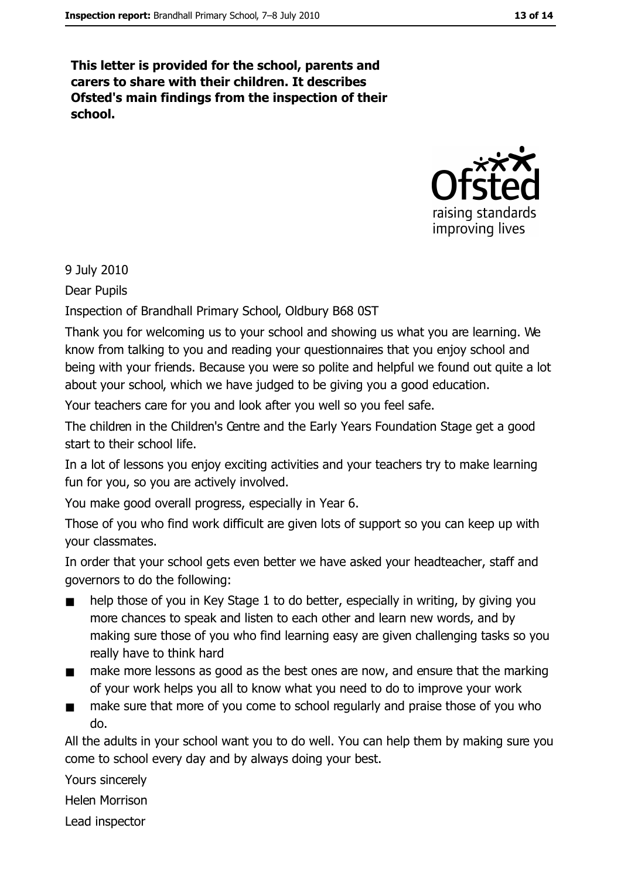This letter is provided for the school, parents and carers to share with their children. It describes Ofsted's main findings from the inspection of their school.



9 July 2010

Dear Pupils

Inspection of Brandhall Primary School, Oldbury B68 0ST

Thank you for welcoming us to your school and showing us what you are learning. We know from talking to you and reading your questionnaires that you enjoy school and being with your friends. Because you were so polite and helpful we found out quite a lot about your school, which we have judged to be giving you a good education.

Your teachers care for you and look after you well so you feel safe.

The children in the Children's Centre and the Early Years Foundation Stage get a good start to their school life.

In a lot of lessons you enjoy exciting activities and your teachers try to make learning fun for you, so you are actively involved.

You make good overall progress, especially in Year 6.

Those of you who find work difficult are given lots of support so you can keep up with your classmates.

In order that your school gets even better we have asked your headteacher, staff and governors to do the following:

- help those of you in Key Stage 1 to do better, especially in writing, by giving you  $\blacksquare$ more chances to speak and listen to each other and learn new words, and by making sure those of you who find learning easy are given challenging tasks so you really have to think hard
- make more lessons as good as the best ones are now, and ensure that the marking  $\blacksquare$ of your work helps you all to know what you need to do to improve your work
- make sure that more of you come to school regularly and praise those of you who  $\blacksquare$ do.

All the adults in your school want you to do well. You can help them by making sure you come to school every day and by always doing your best.

Yours sincerely

**Helen Morrison** 

Lead inspector